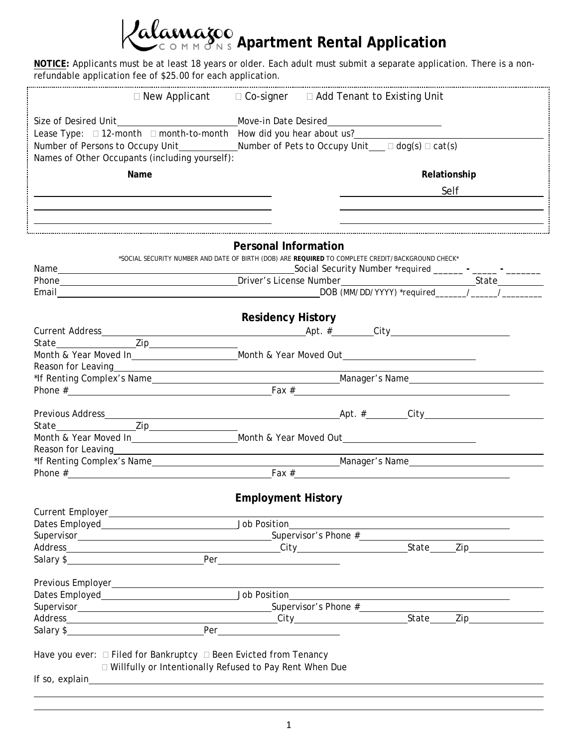**Adamazoo**<br>COMMONS Apartment Rental Application

**NOTICE:** Applicants must be at least 18 years or older. Each adult must submit a separate application. There is a nonrefundable application fee of \$25.00 for each application.

|                                                                                                                                                                                                                                        | $\Box$ New Applicant $\Box$ Co-signer $\Box$ Add Tenant to Existing Unit                                                                                                                                                                                                               |
|----------------------------------------------------------------------------------------------------------------------------------------------------------------------------------------------------------------------------------------|----------------------------------------------------------------------------------------------------------------------------------------------------------------------------------------------------------------------------------------------------------------------------------------|
|                                                                                                                                                                                                                                        |                                                                                                                                                                                                                                                                                        |
|                                                                                                                                                                                                                                        |                                                                                                                                                                                                                                                                                        |
|                                                                                                                                                                                                                                        | Number of Persons to Occupy Unit_____________Number of Pets to Occupy Unit___ □ dog(s) □ cat(s)                                                                                                                                                                                        |
| Names of Other Occupants (including yourself):                                                                                                                                                                                         |                                                                                                                                                                                                                                                                                        |
| Name                                                                                                                                                                                                                                   | Relationship                                                                                                                                                                                                                                                                           |
|                                                                                                                                                                                                                                        | <b>Self</b> Self <b>Self</b>                                                                                                                                                                                                                                                           |
|                                                                                                                                                                                                                                        |                                                                                                                                                                                                                                                                                        |
| the control of the control of the control of the control of the control of the control of the control of the control of the control of the control of the control of the control of the control of the control of the control          |                                                                                                                                                                                                                                                                                        |
|                                                                                                                                                                                                                                        |                                                                                                                                                                                                                                                                                        |
|                                                                                                                                                                                                                                        | <b>Personal Information</b>                                                                                                                                                                                                                                                            |
|                                                                                                                                                                                                                                        | *SOCIAL SECURITY NUMBER AND DATE OF BIRTH (DOB) ARE REQUIRED TO COMPLETE CREDIT/BACKGROUND CHECK*                                                                                                                                                                                      |
|                                                                                                                                                                                                                                        |                                                                                                                                                                                                                                                                                        |
|                                                                                                                                                                                                                                        | Phone State State State State State State State State State State State State State State State State State State State State State State State State State State State State State State State State State State State State                                                          |
|                                                                                                                                                                                                                                        |                                                                                                                                                                                                                                                                                        |
|                                                                                                                                                                                                                                        |                                                                                                                                                                                                                                                                                        |
|                                                                                                                                                                                                                                        | <b>Residency History</b>                                                                                                                                                                                                                                                               |
|                                                                                                                                                                                                                                        |                                                                                                                                                                                                                                                                                        |
|                                                                                                                                                                                                                                        |                                                                                                                                                                                                                                                                                        |
|                                                                                                                                                                                                                                        | Month & Year Moved In______________________________Month & Year Moved Out___________________________                                                                                                                                                                                   |
| Reason for Leaving<br><u>example and the contract of the contract of the contract of the contract of the contract of the contract of the contract of the contract of the contract of the contract of the contract of the contract </u> |                                                                                                                                                                                                                                                                                        |
|                                                                                                                                                                                                                                        |                                                                                                                                                                                                                                                                                        |
|                                                                                                                                                                                                                                        | Phone $\frac{3}{2}$ Phone $\frac{3}{2}$ Phone $\frac{3}{2}$ Phone $\frac{3}{2}$ Phone $\frac{3}{2}$ Phone $\frac{3}{2}$ Phone $\frac{3}{2}$ Phone $\frac{3}{2}$ Phone $\frac{3}{2}$ Phone $\frac{3}{2}$ Phone $\frac{3}{2}$ Phone $\frac{3}{2}$ Phone $\frac{3}{2}$ Phone $\frac{3}{2$ |
|                                                                                                                                                                                                                                        |                                                                                                                                                                                                                                                                                        |
|                                                                                                                                                                                                                                        |                                                                                                                                                                                                                                                                                        |
|                                                                                                                                                                                                                                        |                                                                                                                                                                                                                                                                                        |
|                                                                                                                                                                                                                                        | Month & Year Moved In___________________________Month & Year Moved Out______________________________                                                                                                                                                                                   |
| Reason for Leaving https://www.assett.com/www.assett.com/www.assett.com/www.assett.com/www.assett.com/www.asset                                                                                                                        |                                                                                                                                                                                                                                                                                        |
|                                                                                                                                                                                                                                        | Phone $\#\underline{\hspace{2cm}}$ Fax $\#\underline{\hspace{2cm}}$                                                                                                                                                                                                                    |
|                                                                                                                                                                                                                                        |                                                                                                                                                                                                                                                                                        |
|                                                                                                                                                                                                                                        | <b>Employment History</b>                                                                                                                                                                                                                                                              |
|                                                                                                                                                                                                                                        |                                                                                                                                                                                                                                                                                        |
|                                                                                                                                                                                                                                        |                                                                                                                                                                                                                                                                                        |
|                                                                                                                                                                                                                                        |                                                                                                                                                                                                                                                                                        |
|                                                                                                                                                                                                                                        |                                                                                                                                                                                                                                                                                        |
| Salary \$ Per                                                                                                                                                                                                                          |                                                                                                                                                                                                                                                                                        |
|                                                                                                                                                                                                                                        |                                                                                                                                                                                                                                                                                        |
|                                                                                                                                                                                                                                        |                                                                                                                                                                                                                                                                                        |
|                                                                                                                                                                                                                                        |                                                                                                                                                                                                                                                                                        |
|                                                                                                                                                                                                                                        |                                                                                                                                                                                                                                                                                        |
|                                                                                                                                                                                                                                        |                                                                                                                                                                                                                                                                                        |
|                                                                                                                                                                                                                                        |                                                                                                                                                                                                                                                                                        |
|                                                                                                                                                                                                                                        |                                                                                                                                                                                                                                                                                        |
| Have you ever: $\Box$ Filed for Bankruptcy $\Box$ Been Evicted from Tenancy                                                                                                                                                            |                                                                                                                                                                                                                                                                                        |
| □ Willfully or Intentionally Refused to Pay Rent When Due                                                                                                                                                                              |                                                                                                                                                                                                                                                                                        |
|                                                                                                                                                                                                                                        |                                                                                                                                                                                                                                                                                        |